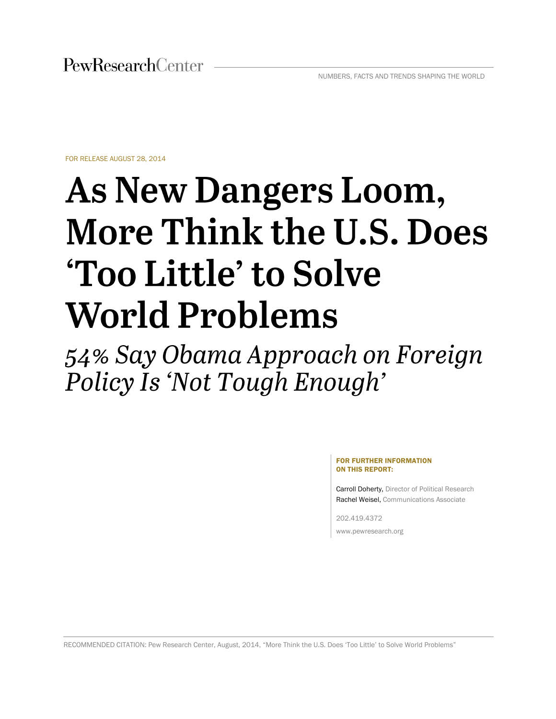FOR RELEASE AUGUST 28, 2014

# As New Dangers Loom, **More Think the U.S. Does 'Too Little' to Solve World Problems**

54% Say Obama Approach on Foreign Policy Is 'Not Tough Enough'

> FOR FURTHER INFORMATION ON THIS REPORT:

Carroll Doherty, Director of Political Research Rachel Weisel, Communications Associate

202.419.4372 www.pewresearch.org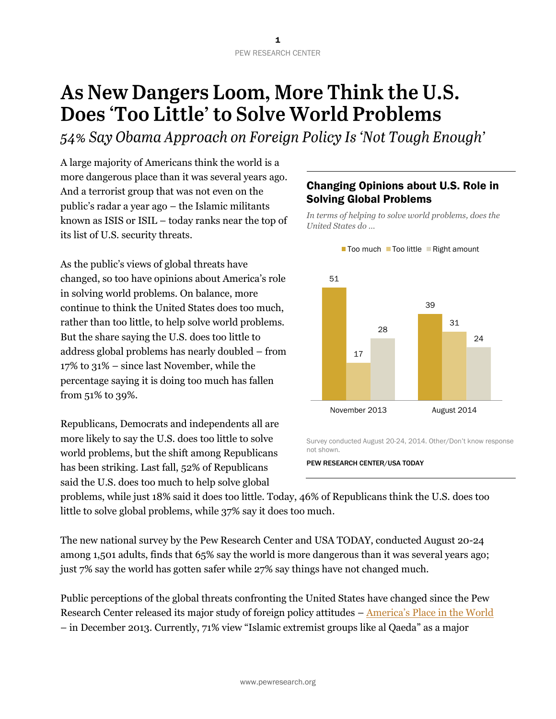# As New Dangers Loom, More Think the U.S. Does 'Too Little' to Solve World Problems

54% Say Obama Approach on Foreign Policy Is 'Not Tough Enough'

A large majority of Americans think the world is a more dangerous place than it was several years ago. And a terrorist group that was not even on the public's radar a year ago – the Islamic militants known as ISIS or ISIL – today ranks near the top of its list of U.S. security threats.

As the public's views of global threats have changed, so too have opinions about America's role in solving world problems. On balance, more continue to think the United States does too much, rather than too little, to help solve world problems. But the share saying the U.S. does too little to address global problems has nearly doubled – from 17% to 31% – since last November, while the percentage saying it is doing too much has fallen from 51% to 39%.

Republicans, Democrats and independents all are more likely to say the U.S. does too little to solve world problems, but the shift among Republicans has been striking. Last fall, 52% of Republicans said the U.S. does too much to help solve global

# Changing Opinions about U.S. Role in Solving Global Problems

*In terms of helping to solve world problems, does the United States do …*



Survey conducted August 20-24, 2014. Other/Don't know response not shown.

PEW RESEARCH CENTER/USA TODAY

problems, while just 18% said it does too little. Today, 46% of Republicans think the U.S. does too little to solve global problems, while 37% say it does too much.

The new national survey by the Pew Research Center and USA TODAY, conducted August 20-24 among 1,501 adults, finds that 65% say the world is more dangerous than it was several years ago; just 7% say the world has gotten safer while 27% say things have not changed much.

Public perceptions of the global threats confronting the United States have changed since the Pew Research Center released its major study of foreign policy attitudes – [America's Place in the World](http://www.people-press.org/2013/12/03/public-sees-u-s-power-declining-as-support-for-global-engagement-slips/)  – in December 2013. Currently, 71% view "Islamic extremist groups like al Qaeda" as a major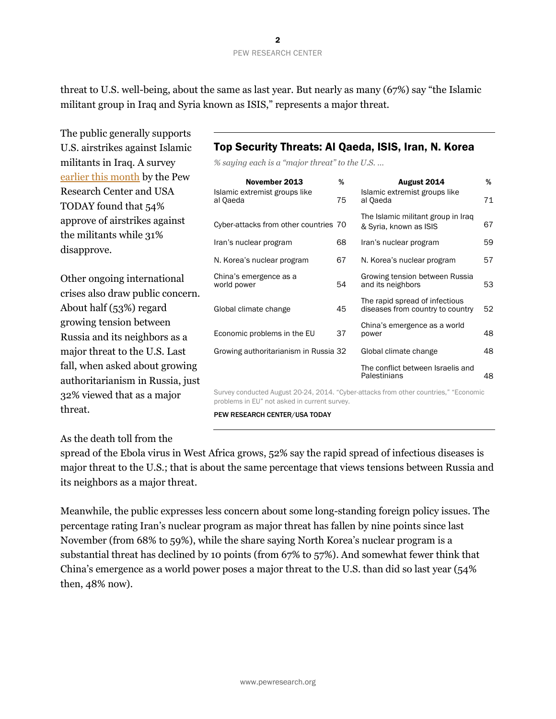threat to U.S. well-being, about the same as last year. But nearly as many (67%) say "the Islamic militant group in Iraq and Syria known as ISIS," represents a major threat.

The public generally supports U.S. airstrikes against Islamic militants in Iraq. A survey [earlier this month](http://www.people-press.org/2014/08/18/support-for-u-s-airstrikes-in-iraq-concern-about-getting-too-involved/) by the Pew Research Center and USA TODAY found that 54% approve of airstrikes against the militants while 31% disapprove.

Other ongoing international crises also draw public concern. About half (53%) regard growing tension between Russia and its neighbors as a major threat to the U.S. Last fall, when asked about growing authoritarianism in Russia, just 32% viewed that as a major threat.

# As the death toll from the

spread of the Ebola virus in West Africa grows, 52% say the rapid spread of infectious diseases is major threat to the U.S.; that is about the same percentage that views tensions between Russia and its neighbors as a major threat.

Meanwhile, the public expresses less concern about some long-standing foreign policy issues. The percentage rating Iran's nuclear program as major threat has fallen by nine points since last November (from 68% to 59%), while the share saying North Korea's nuclear program is a substantial threat has declined by 10 points (from 67% to 57%). And somewhat fewer think that China's emergence as a world power poses a major threat to the U.S. than did so last year (54% then, 48% now).

## Top Security Threats: Al Qaeda, ISIS, Iran, N. Korea

*% saying each is a "major threat" to the U.S. …*

| November 2013                             | %  | August 2014                                                        | %  |
|-------------------------------------------|----|--------------------------------------------------------------------|----|
| Islamic extremist groups like<br>al Qaeda | 75 | Islamic extremist groups like<br>al Qaeda                          | 71 |
| Cyber-attacks from other countries 70     |    | The Islamic militant group in Iraq<br>& Syria, known as ISIS       | 67 |
| Iran's nuclear program                    | 68 | Iran's nuclear program                                             | 59 |
| N. Korea's nuclear program                | 67 | N. Korea's nuclear program                                         | 57 |
| China's emergence as a<br>world power     | 54 | Growing tension between Russia<br>and its neighbors                | 53 |
| Global climate change                     | 45 | The rapid spread of infectious<br>diseases from country to country | 52 |
| Economic problems in the EU               | 37 | China's emergence as a world<br>power                              | 48 |
| Growing authoritarianism in Russia 32     |    | Global climate change                                              | 48 |
|                                           |    | The conflict between Israelis and<br>Palestinians                  | 48 |

Survey conducted August 20-24, 2014. "Cyber-attacks from other countries," "Economic problems in EU" not asked in current survey.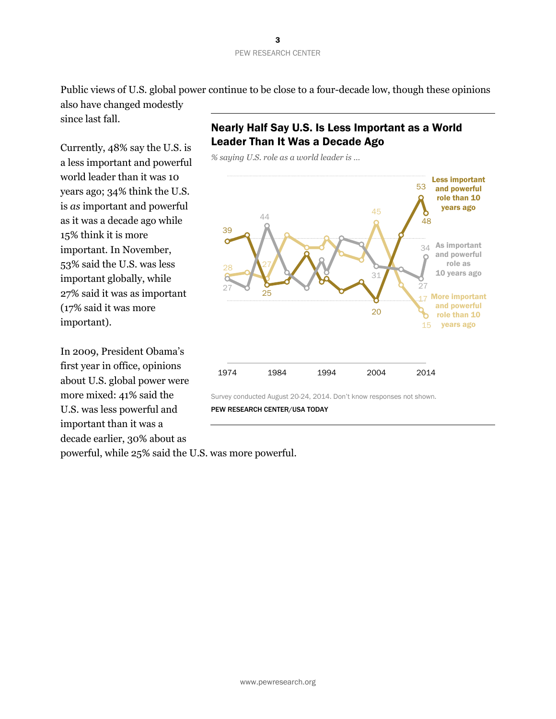Public views of U.S. global power continue to be close to a four-decade low, though these opinions also have changed modestly

since last fall.

Currently, 48% say the U.S. is a less important and powerful world leader than it was 10 years ago; 34% think the U.S. is *as* important and powerful as it was a decade ago while 15% think it is more important. In November, 53% said the U.S. was less important globally, while 27% said it was as important (17% said it was more important).

In 2009, President Obama's first year in office, opinions about U.S. global power were more mixed: 41% said the U.S. was less powerful and important than it was a decade earlier, 30% about as

# Nearly Half Say U.S. Is Less Important as a World Leader Than It Was a Decade Ago



powerful, while 25% said the U.S. was more powerful.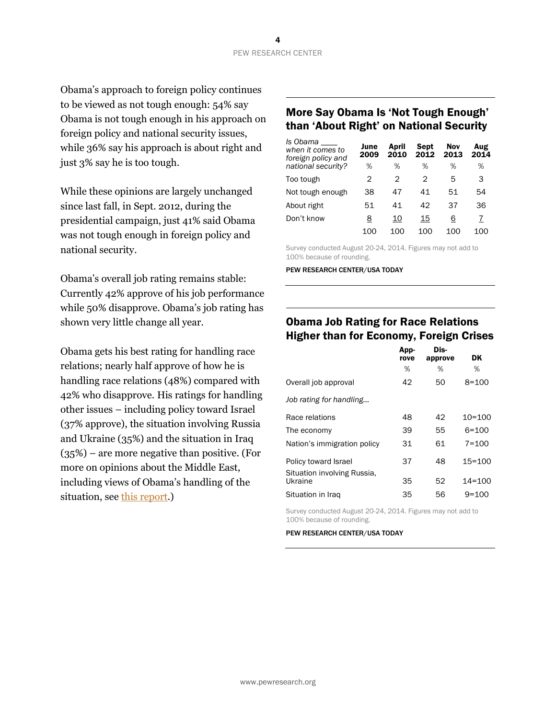Obama's approach to foreign policy continues to be viewed as not tough enough: 54% say Obama is not tough enough in his approach on foreign policy and national security issues, while 36% say his approach is about right and just 3% say he is too tough.

While these opinions are largely unchanged since last fall, in Sept. 2012, during the presidential campaign, just 41% said Obama was not tough enough in foreign policy and national security.

Obama's overall job rating remains stable: Currently 42% approve of his job performance while 50% disapprove. Obama's job rating has shown very little change all year.

Obama gets his best rating for handling race relations; nearly half approve of how he is handling race relations (48%) compared with 42% who disapprove. His ratings for handling other issues – including policy toward Israel (37% approve), the situation involving Russia and Ukraine (35%) and the situation in Iraq (35%) – are more negative than positive. (For more on opinions about the Middle East, including views of Obama's handling of the situation, see [this report.](http://www.people-press.org/2014/08/28/more-express-sympathy-for-israel-than-the-palestinians))

## More Say Obama Is 'Not Tough Enough' than 'About Right' on National Security

| Is Obama<br>when it comes to<br>foreign policy and | June<br>2009 | April<br>2010 | <b>Sept</b><br>2012 | Nov<br>2013 | Aug<br>2014 |
|----------------------------------------------------|--------------|---------------|---------------------|-------------|-------------|
| national security?                                 | %            | %             | %                   | %           | %           |
| Too tough                                          | 2            | 2             | 2                   | 5           | 3           |
| Not tough enough                                   | 38           | 47            | 41                  | 51          | 54          |
| About right                                        | 51           | 41            | 42                  | 37          | 36          |
| Don't know                                         | <u>8</u>     | 10            | 15                  | 6           | 7           |
|                                                    | 100          | 100           | 100                 | 100         | 100         |

Survey conducted August 20-24, 2014. Figures may not add to 100% because of rounding.

PEW RESEARCH CENTER/USA TODAY

# Obama Job Rating for Race Relations Higher than for Economy, Foreign Crises

| App-<br>rove | Dis- | DK.        |
|--------------|------|------------|
| %            | ℅    | %          |
| 42           | 50   | $8 = 100$  |
|              |      |            |
| 48           | 42   | $10 = 100$ |
| 39           | 55   | $6 = 100$  |
| 31           | 61   | $7 = 100$  |
| 37           | 48   | $15 = 100$ |
| 35           | 52   | $14 = 100$ |
| 35           | 56   | $9 = 100$  |
|              |      | approve    |

Survey conducted August 20-24, 2014. Figures may not add to 100% because of rounding.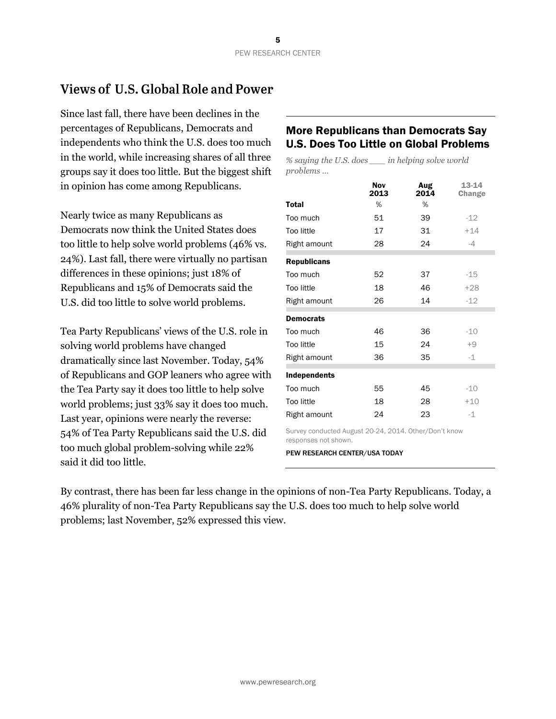# Views of U.S. Global Role and Power

Since last fall, there have been declines in the percentages of Republicans, Democrats and independents who think the U.S. does too much in the world, while increasing shares of all three groups say it does too little. But the biggest shift in opinion has come among Republicans.

Nearly twice as many Republicans as Democrats now think the United States does too little to help solve world problems (46% vs. 24%). Last fall, there were virtually no partisan differences in these opinions; just 18% of Republicans and 15% of Democrats said the U.S. did too little to solve world problems.

Tea Party Republicans' views of the U.S. role in solving world problems have changed dramatically since last November. Today, 54% of Republicans and GOP leaners who agree with the Tea Party say it does too little to help solve world problems; just 33% say it does too much. Last year, opinions were nearly the reverse: 54% of Tea Party Republicans said the U.S. did too much global problem-solving while 22% said it did too little.

## More Republicans than Democrats Say U.S. Does Too Little on Global Problems

*% saying the U.S. does \_\_\_ in helping solve world problems …*

|                    | Nov<br>2013 | Aug<br>2014 | 13-14<br>Change |
|--------------------|-------------|-------------|-----------------|
| <b>Total</b>       | %           | %           |                 |
| Too much           | 51          | 39          | $-12$           |
| Too little         | 17          | 31          | $+14$           |
| Right amount       | 28          | 24          | $-4$            |
| <b>Republicans</b> |             |             |                 |
| Too much           | 52          | 37          | $-15$           |
| Too little         | 18          | 46          | $+28$           |
| Right amount       | 26          | 14          | $-12$           |
| <b>Democrats</b>   |             |             |                 |
| Too much           | 46          | 36          | $-10$           |
| <b>Too little</b>  | 15          | 24          | $+9$            |
| Right amount       | 36          | 35          | $-1$            |
| Independents       |             |             |                 |
| Too much           | 55          | 45          | $-10$           |
| <b>Too little</b>  | 18          | 28          | $+10$           |
| Right amount       | 24          | 23          | $-1$            |

Survey conducted August 20-24, 2014. Other/Don't know responses not shown.

PEW RESEARCH CENTER/USA TODAY

By contrast, there has been far less change in the opinions of non-Tea Party Republicans. Today, a 46% plurality of non-Tea Party Republicans say the U.S. does too much to help solve world problems; last November, 52% expressed this view.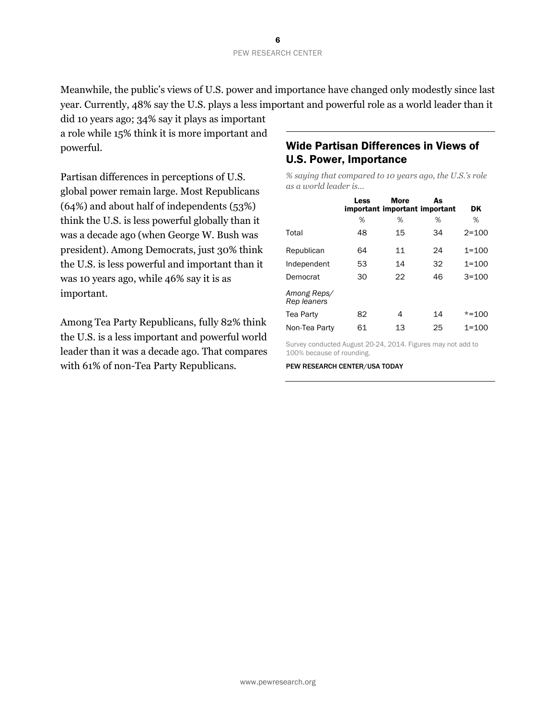Meanwhile, the public's views of U.S. power and importance have changed only modestly since last year. Currently, 48% say the U.S. plays a less important and powerful role as a world leader than it

did 10 years ago; 34% say it plays as important a role while 15% think it is more important and powerful.

Partisan differences in perceptions of U.S. global power remain large. Most Republicans (64%) and about half of independents (53%) think the U.S. is less powerful globally than it was a decade ago (when George W. Bush was president). Among Democrats, just 30% think the U.S. is less powerful and important than it was 10 years ago, while 46% say it is as important.

Among Tea Party Republicans, fully 82% think the U.S. is a less important and powerful world leader than it was a decade ago. That compares with 61% of non-Tea Party Republicans.

# Wide Partisan Differences in Views of U.S. Power, Importance

*% saying that compared to 10 years ago, the U.S.'s role as a world leader is…*

|                            | Less | <b>More</b><br>important important important | As | DK        |
|----------------------------|------|----------------------------------------------|----|-----------|
|                            | %    | %                                            | %  | %         |
| Total                      | 48   | 15                                           | 34 | $2 = 100$ |
| Republican                 | 64   | 11                                           | 24 | $1 = 100$ |
| Independent                | 53   | 14                                           | 32 | $1 = 100$ |
| Democrat                   | 30   | 22                                           | 46 | $3 = 100$ |
| Among Reps/<br>Rep leaners |      |                                              |    |           |
| Tea Party                  | 82   | 4                                            | 14 | $* = 100$ |
| Non-Tea Party              | 61   | 13                                           | 25 | $1 = 100$ |

Survey conducted August 20-24, 2014. Figures may not add to 100% because of rounding.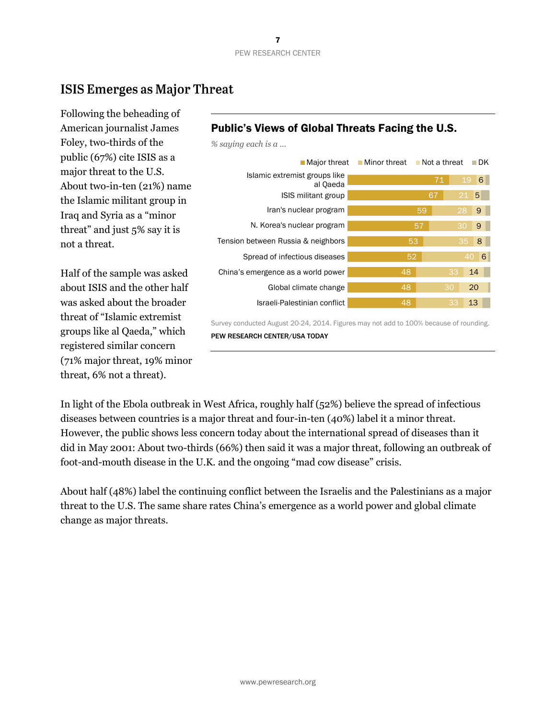*% saying each is a …*

# **ISIS Emerges as Major Threat**

Following the beheading of American journalist James Foley, two-thirds of the public (67%) cite ISIS as a major threat to the U.S. About two-in-ten (21%) name the Islamic militant group in Iraq and Syria as a "minor threat" and just 5% say it is not a threat.

Half of the sample was asked about ISIS and the other half was asked about the broader threat of "Islamic extremist groups like al Qaeda," which registered similar concern (71% major threat, 19% minor threat, 6% not a threat).

# Public's Views of Global Threats Facing the U.S.

| ■ Major threat                            | ■ Minor threat | ■ Not a threat | ∎ DK    |
|-------------------------------------------|----------------|----------------|---------|
| Islamic extremist groups like<br>al Qaeda |                | 71             | 19<br>6 |
| ISIS militant group                       |                | 67             | 5<br>21 |
| Iran's nuclear program                    |                | 59             | 28<br>9 |
| N. Korea's nuclear program                |                | 57             | 30<br>9 |
| Tension between Russia & neighbors        | 53             |                | 8<br>35 |
| Spread of infectious diseases             | 52             |                | 6<br>40 |
| China's emergence as a world power        | 48             | 33             | 14      |
| Global climate change                     | 48             | 30             | 20      |
| Israeli-Palestinian conflict              | 48             | 33             | 13      |

Survey conducted August 20-24, 2014. Figures may not add to 100% because of rounding. PEW RESEARCH CENTER/USA TODAY

In light of the Ebola outbreak in West Africa, roughly half (52%) believe the spread of infectious diseases between countries is a major threat and four-in-ten (40%) label it a minor threat. However, the public shows less concern today about the international spread of diseases than it did in May 2001: About two-thirds (66%) then said it was a major threat, following an outbreak of foot-and-mouth disease in the U.K. and the ongoing "mad cow disease" crisis.

About half (48%) label the continuing conflict between the Israelis and the Palestinians as a major threat to the U.S. The same share rates China's emergence as a world power and global climate change as major threats.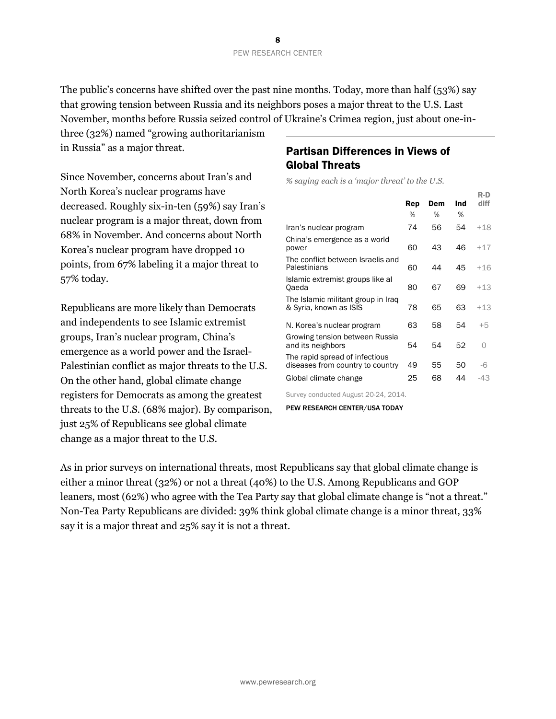The public's concerns have shifted over the past nine months. Today, more than half (53%) say that growing tension between Russia and its neighbors poses a major threat to the U.S. Last November, months before Russia seized control of Ukraine's Crimea region, just about one-in-

three (32%) named "growing authoritarianism in Russia" as a major threat.

Since November, concerns about Iran's and North Korea's nuclear programs have decreased. Roughly six-in-ten (59%) say Iran's nuclear program is a major threat, down from 68% in November. And concerns about North Korea's nuclear program have dropped 10 points, from 67% labeling it a major threat to 57% today.

Republicans are more likely than Democrats and independents to see Islamic extremist groups, Iran's nuclear program, China's emergence as a world power and the Israel-Palestinian conflict as major threats to the U.S. On the other hand, global climate change registers for Democrats as among the greatest threats to the U.S. (68% major). By comparison, just 25% of Republicans see global climate change as a major threat to the U.S.

# Partisan Differences in Views of Global Threats

*% saying each is a 'major threat' to the U.S.*

|                                                                    |          |          |          | R-D   |
|--------------------------------------------------------------------|----------|----------|----------|-------|
|                                                                    | Rep<br>% | Dem<br>% | Ind<br>% | diff  |
|                                                                    |          |          |          |       |
| Iran's nuclear program                                             | 74       | 56       | 54       | $+18$ |
| China's emergence as a world<br>power                              | 60       | 43       | 46       | $+17$ |
| The conflict between Israelis and<br>Palestinians                  | 60       | 44       | 45       | $+16$ |
| Islamic extremist groups like al<br>Oaeda                          | 80       | 67       | 69       | $+13$ |
| The Islamic militant group in Iraq<br>& Syria, known as ISIS       | 78       | 65       | 63       | $+13$ |
| N. Korea's nuclear program                                         | 63       | 58       | 54       | $+5$  |
| Growing tension between Russia<br>and its neighbors                | 54       | 54       | 52       | Ω     |
| The rapid spread of infectious<br>diseases from country to country | 49       | 55       | 50       | $-6$  |
| Global climate change                                              | 25       | 68       | 44       | -43   |
| Survey conducted August 20-24, 2014.                               |          |          |          |       |
| PEW RESEARCH CENTER/USA TODAY                                      |          |          |          |       |

As in prior surveys on international threats, most Republicans say that global climate change is either a minor threat (32%) or not a threat (40%) to the U.S. Among Republicans and GOP leaners, most (62%) who agree with the Tea Party say that global climate change is "not a threat." Non-Tea Party Republicans are divided: 39% think global climate change is a minor threat, 33% say it is a major threat and 25% say it is not a threat.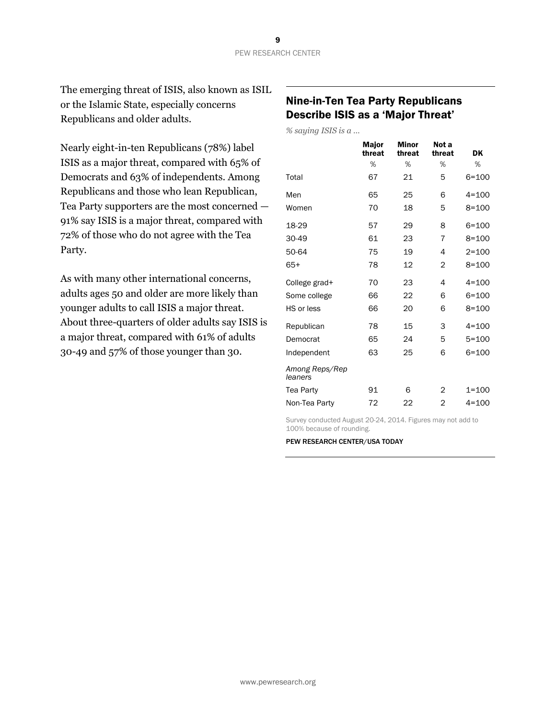The emerging threat of ISIS, also known as ISIL or the Islamic State, especially concerns Republicans and older adults.

Nearly eight-in-ten Republicans (78%) label ISIS as a major threat, compared with 65% of Democrats and 63% of independents. Among Republicans and those who lean Republican, Tea Party supporters are the most concerned — 91% say ISIS is a major threat, compared with 72% of those who do not agree with the Tea Party.

As with many other international concerns, adults ages 50 and older are more likely than younger adults to call ISIS a major threat. About three-quarters of older adults say ISIS is a major threat, compared with 61% of adults 30-49 and 57% of those younger than 30.

## Nine-in-Ten Tea Party Republicans Describe ISIS as a 'Major Threat'

*% saying ISIS is a …*

|                           | <b>Major</b><br>threat | <b>Minor</b><br>threat | Not a<br>threat | DK        |
|---------------------------|------------------------|------------------------|-----------------|-----------|
|                           | %                      | %                      | %               | %         |
| Total                     | 67                     | 21                     | 5               | $6 = 100$ |
| Men                       | 65                     | 25                     | 6               | $4 = 100$ |
| Women                     | 70                     | 18                     | 5               | $8 = 100$ |
| 18-29                     | 57                     | 29                     | 8               | $6 = 100$ |
| 30-49                     | 61                     | 23                     | $\overline{7}$  | $8 = 100$ |
| 50-64                     | 75                     | 19                     | 4               | $2 = 100$ |
| 65+                       | 78                     | 12                     | 2               | $8 = 100$ |
| College grad+             | 70                     | 23                     | 4               | $4 = 100$ |
| Some college              | 66                     | 22                     | 6               | $6 = 100$ |
| HS or less                | 66                     | 20                     | 6               | $8 = 100$ |
| Republican                | 78                     | 15                     | 3               | $4 = 100$ |
| Democrat                  | 65                     | 24                     | 5               | $5 = 100$ |
| Independent               | 63                     | 25                     | 6               | $6 = 100$ |
| Among Reps/Rep<br>leaners |                        |                        |                 |           |
| Tea Party                 | 91                     | 6                      | 2               | $1 = 100$ |
| Non-Tea Party             | 72                     | 22                     | $\overline{2}$  | $4 = 100$ |
|                           |                        |                        |                 |           |

Survey conducted August 20-24, 2014. Figures may not add to 100% because of rounding.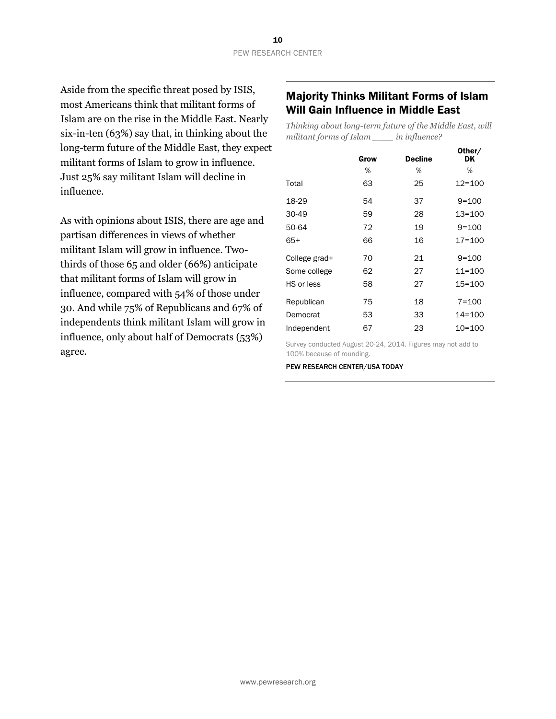Aside from the specific threat posed by ISIS, most Americans think that militant forms of Islam are on the rise in the Middle East. Nearly six-in-ten (63%) say that, in thinking about the long-term future of the Middle East, they expect militant forms of Islam to grow in influence. Just 25% say militant Islam will decline in influence.

As with opinions about ISIS, there are age and partisan differences in views of whether militant Islam will grow in influence. Twothirds of those 65 and older (66%) anticipate that militant forms of Islam will grow in influence, compared with 54% of those under 30. And while 75% of Republicans and 67% of independents think militant Islam will grow in influence, only about half of Democrats (53%) agree.

## Majority Thinks Militant Forms of Islam Will Gain Influence in Middle East

*Thinking about long-term future of the Middle East, will militant forms of Islam \_\_\_\_ in influence?*

|               | Grow | <b>Decline</b> | Other/<br>DK |
|---------------|------|----------------|--------------|
|               | %    | %              | ℅            |
| Total         | 63   | 25             | $12 = 100$   |
| 18-29         | 54   | 37             | $9 = 100$    |
| 30-49         | 59   | 28             | 13=100       |
| 50-64         | 72   | 19             | $9 = 100$    |
| 65+           | 66   | 16             | $17 = 100$   |
| College grad+ | 70   | 21             | $9 = 100$    |
| Some college  | 62   | 27             | $11 = 100$   |
| HS or less    | 58   | 27             | $15 = 100$   |
| Republican    | 75   | 18             | $7 = 100$    |
| Democrat      | 53   | 33             | $14 = 100$   |
| Independent   | 67   | 23             | 10=100       |

Survey conducted August 20-24, 2014. Figures may not add to 100% because of rounding.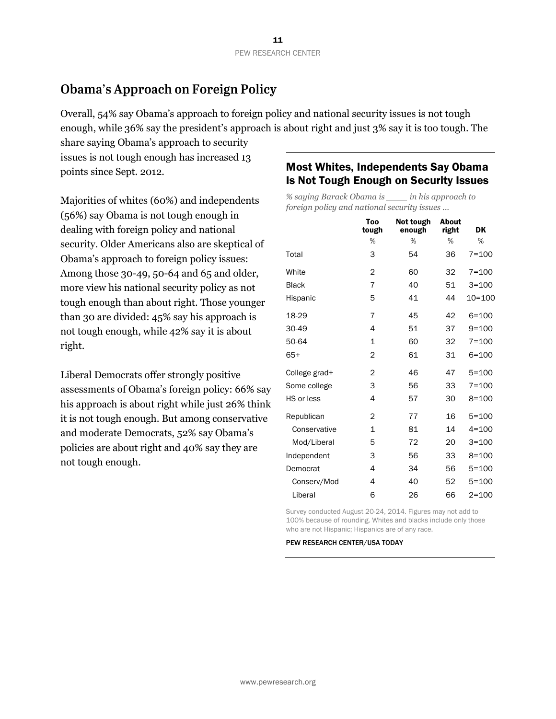# **Obama's Approach on Foreign Policy**

Overall, 54% say Obama's approach to foreign policy and national security issues is not tough enough, while 36% say the president's approach is about right and just 3% say it is too tough. The

share saying Obama's approach to security issues is not tough enough has increased 13 points since Sept. 2012.

Majorities of whites (60%) and independents (56%) say Obama is not tough enough in dealing with foreign policy and national security. Older Americans also are skeptical of Obama's approach to foreign policy issues: Among those 30-49, 50-64 and 65 and older, more view his national security policy as not tough enough than about right. Those younger than 30 are divided: 45% say his approach is not tough enough, while 42% say it is about right.

Liberal Democrats offer strongly positive assessments of Obama's foreign policy: 66% say his approach is about right while just 26% think it is not tough enough. But among conservative and moderate Democrats, 52% say Obama's policies are about right and 40% say they are not tough enough.

## Most Whites, Independents Say Obama Is Not Tough Enough on Security Issues

*% saying Barack Obama is \_\_\_\_ in his approach to foreign policy and national security issues ...*

|               | Too<br>tough   | Not tough<br>enough | About<br>right | DK         |
|---------------|----------------|---------------------|----------------|------------|
|               | %              | %                   | %              | %          |
| Total         | 3              | 54                  | 36             | $7 = 100$  |
| White         | $\overline{2}$ | 60                  | 32             | $7 = 100$  |
| <b>Black</b>  | 7              | 40                  | 51             | $3 = 100$  |
| Hispanic      | 5              | 41                  | 44             | $10 = 100$ |
| 18-29         | 7              | 45                  | 42             | $6 = 100$  |
| 30-49         | 4              | 51                  | 37             | $9 = 100$  |
| 50-64         | 1              | 60                  | 32             | $7 = 100$  |
| $65+$         | $\overline{2}$ | 61                  | 31             | $6 = 100$  |
| College grad+ | $\overline{2}$ | 46                  | 47             | $5 = 100$  |
| Some college  | 3              | 56                  | 33             | $7 = 100$  |
| HS or less    | 4              | 57                  | 30             | $8 = 100$  |
| Republican    | $\overline{2}$ | 77                  | 16             | $5 = 100$  |
| Conservative  | $\mathbf{1}$   | 81                  | 14             | $4 = 100$  |
| Mod/Liberal   | 5              | 72                  | 20             | $3 = 100$  |
| Independent   | 3              | 56                  | 33             | $8 = 100$  |
| Democrat      | 4              | 34                  | 56             | $5 = 100$  |
| Conserv/Mod   | 4              | 40                  | 52             | $5 = 100$  |
| Liberal       | 6              | 26                  | 66             | $2 = 100$  |

Survey conducted August 20-24, 2014. Figures may not add to 100% because of rounding. Whites and blacks include only those who are not Hispanic; Hispanics are of any race.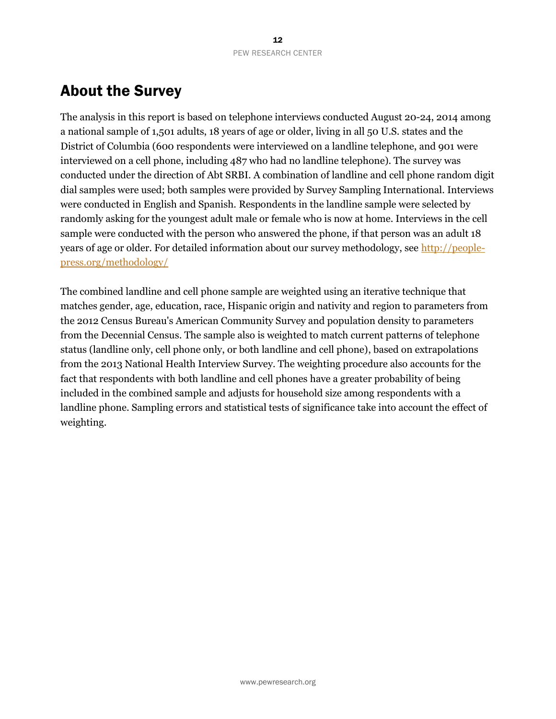# About the Survey

The analysis in this report is based on telephone interviews conducted August 20-24, 2014 among a national sample of 1,501 adults, 18 years of age or older, living in all 50 U.S. states and the District of Columbia (600 respondents were interviewed on a landline telephone, and 901 were interviewed on a cell phone, including 487 who had no landline telephone). The survey was conducted under the direction of Abt SRBI. A combination of landline and cell phone random digit dial samples were used; both samples were provided by Survey Sampling International. Interviews were conducted in English and Spanish. Respondents in the landline sample were selected by randomly asking for the youngest adult male or female who is now at home. Interviews in the cell sample were conducted with the person who answered the phone, if that person was an adult 18 years of age or older. For detailed information about our survey methodology, see [http://people](http://people-press.org/methodology/)[press.org/methodology/](http://people-press.org/methodology/)

The combined landline and cell phone sample are weighted using an iterative technique that matches gender, age, education, race, Hispanic origin and nativity and region to parameters from the 2012 Census Bureau's American Community Survey and population density to parameters from the Decennial Census. The sample also is weighted to match current patterns of telephone status (landline only, cell phone only, or both landline and cell phone), based on extrapolations from the 2013 National Health Interview Survey. The weighting procedure also accounts for the fact that respondents with both landline and cell phones have a greater probability of being included in the combined sample and adjusts for household size among respondents with a landline phone. Sampling errors and statistical tests of significance take into account the effect of weighting.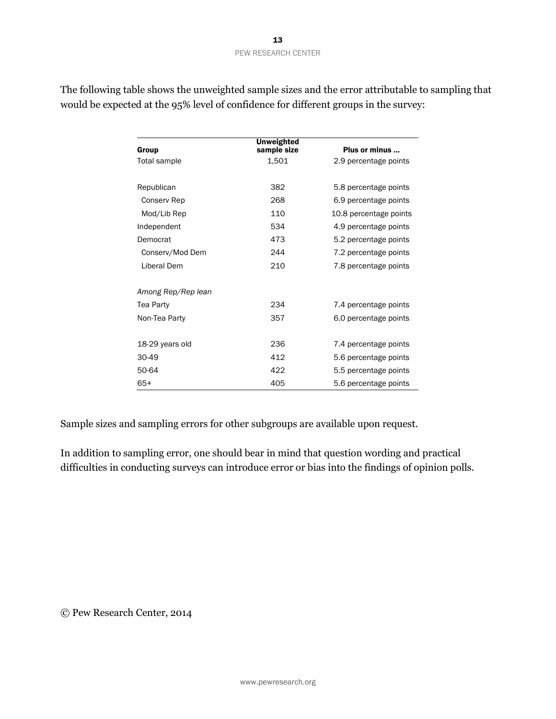| Group              | <b>Unweighted</b><br>sample size | Plus or minus          |
|--------------------|----------------------------------|------------------------|
| Total sample       | 1,501                            | 2.9 percentage points  |
| Republican         | 382                              | 5.8 percentage points  |
| Conserv Rep        | 268                              | 6.9 percentage points  |
| Mod/Lib Rep        | 110                              | 10.8 percentage points |
| Independent        | 534                              | 4.9 percentage points  |
| Democrat           | 473                              | 5.2 percentage points  |
| Conserv/Mod Dem    | 244                              | 7.2 percentage points  |
| Liberal Dem        | 210                              | 7.8 percentage points  |
| Among Rep/Rep lean |                                  |                        |
| Tea Party          | 234                              | 7.4 percentage points  |
| Non-Tea Party      | 357                              | 6.0 percentage points  |
| 18-29 years old    | 236                              | 7.4 percentage points  |
| 30-49              | 412                              | 5.6 percentage points  |
| 50-64              | 422                              | 5.5 percentage points  |
| $65+$              | 405                              | 5.6 percentage points  |

The following table shows the unweighted sample sizes and the error attributable to sampling that would be expected at the 95% level of confidence for different groups in the survey:

Sample sizes and sampling errors for other subgroups are available upon request.

In addition to sampling error, one should bear in mind that question wording and practical difficulties in conducting surveys can introduce error or bias into the findings of opinion polls.

© Pew Research Center, 2014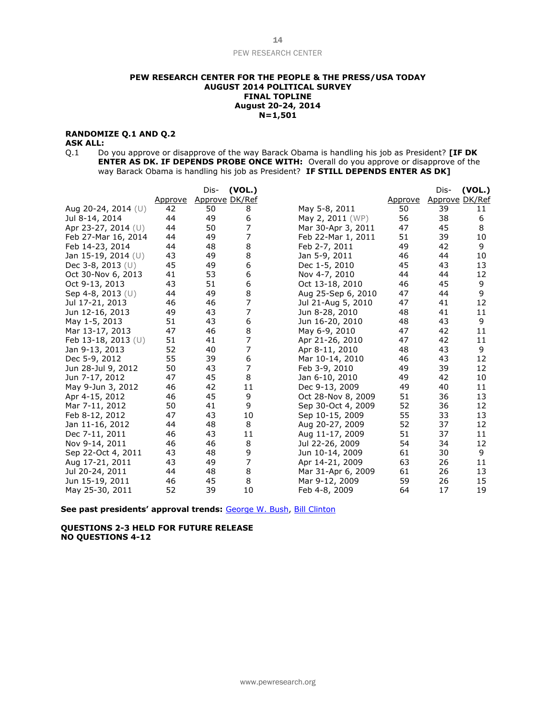#### **PEW RESEARCH CENTER FOR THE PEOPLE & THE PRESS/USA TODAY AUGUST 2014 POLITICAL SURVEY FINAL TOPLINE August 20-24, 2014 N=1,501**

#### **RANDOMIZE Q.1 AND Q.2**

#### **ASK ALL:**

Q.1 Do you approve or disapprove of the way Barack Obama is handling his job as President? **[IF DK ENTER AS DK. IF DEPENDS PROBE ONCE WITH:** Overall do you approve or disapprove of the way Barack Obama is handling his job as President? **IF STILL DEPENDS ENTER AS DK]**

|                        |         | Dis-           | (VOL.) |                    |         | Dis-           | (VOL.) |
|------------------------|---------|----------------|--------|--------------------|---------|----------------|--------|
|                        | Approve | Approve DK/Ref |        |                    | Approve | Approve DK/Ref |        |
| Aug 20-24, 2014 (U)    | 42      | 50             | 8      | May 5-8, 2011      | 50      | 39             | 11     |
| Jul 8-14, 2014         | 44      | 49             | 6      | May 2, 2011 (WP)   | 56      | 38             | 6      |
| Apr 23-27, 2014 $(U)$  | 44      | 50             | 7      | Mar 30-Apr 3, 2011 | 47      | 45             | 8      |
| Feb 27-Mar 16, 2014    | 44      | 49             | 7      | Feb 22-Mar 1, 2011 | 51      | 39             | 10     |
| Feb 14-23, 2014        | 44      | 48             | 8      | Feb 2-7, 2011      | 49      | 42             | 9      |
| Jan 15-19, 2014 (U)    | 43      | 49             | 8      | Jan 5-9, 2011      | 46      | 44             | 10     |
| Dec $3-8$ , $2013$ (U) | 45      | 49             | 6      | Dec 1-5, 2010      | 45      | 43             | 13     |
| Oct 30-Nov 6, 2013     | 41      | 53             | 6      | Nov 4-7, 2010      | 44      | 44             | 12     |
| Oct 9-13, 2013         | 43      | 51             | 6      | Oct 13-18, 2010    | 46      | 45             | 9      |
| Sep 4-8, 2013 (U)      | 44      | 49             | 8      | Aug 25-Sep 6, 2010 | 47      | 44             | 9      |
| Jul 17-21, 2013        | 46      | 46             | 7      | Jul 21-Aug 5, 2010 | 47      | 41             | 12     |
| Jun 12-16, 2013        | 49      | 43             | 7      | Jun 8-28, 2010     | 48      | 41             | 11     |
| May 1-5, 2013          | 51      | 43             | 6      | Jun 16-20, 2010    | 48      | 43             | 9      |
| Mar 13-17, 2013        | 47      | 46             | 8      | May 6-9, 2010      | 47      | 42             | 11     |
| Feb 13-18, 2013 (U)    | 51      | 41             | 7      | Apr 21-26, 2010    | 47      | 42             | 11     |
| Jan 9-13, 2013         | 52      | 40             | 7      | Apr 8-11, 2010     | 48      | 43             | 9      |
| Dec 5-9, 2012          | 55      | 39             | 6      | Mar 10-14, 2010    | 46      | 43             | 12     |
| Jun 28-Jul 9, 2012     | 50      | 43             | 7      | Feb 3-9, 2010      | 49      | 39             | 12     |
| Jun 7-17, 2012         | 47      | 45             | 8      | Jan 6-10, 2010     | 49      | 42             | 10     |
| May 9-Jun 3, 2012      | 46      | 42             | 11     | Dec 9-13, 2009     | 49      | 40             | 11     |
| Apr 4-15, 2012         | 46      | 45             | 9      | Oct 28-Nov 8, 2009 | 51      | 36             | 13     |
| Mar 7-11, 2012         | 50      | 41             | 9      | Sep 30-Oct 4, 2009 | 52      | 36             | 12     |
| Feb 8-12, 2012         | 47      | 43             | 10     | Sep 10-15, 2009    | 55      | 33             | 13     |
| Jan 11-16, 2012        | 44      | 48             | 8      | Aug 20-27, 2009    | 52      | 37             | 12     |
| Dec 7-11, 2011         | 46      | 43             | 11     | Aug 11-17, 2009    | 51      | 37             | 11     |
| Nov 9-14, 2011         | 46      | 46             | 8      | Jul 22-26, 2009    | 54      | 34             | 12     |
| Sep 22-Oct 4, 2011     | 43      | 48             | 9      | Jun 10-14, 2009    | 61      | 30             | 9      |
| Aug 17-21, 2011        | 43      | 49             | 7      | Apr 14-21, 2009    | 63      | 26             | 11     |
| Jul 20-24, 2011        | 44      | 48             | 8      | Mar 31-Apr 6, 2009 | 61      | 26             | 13     |
| Jun 15-19, 2011        | 46      | 45             | 8      | Mar 9-12, 2009     | 59      | 26             | 15     |
| May 25-30, 2011        | 52      | 39             | 10     | Feb 4-8, 2009      | 64      | 17             | 19     |

**See past presidents' approval trends:** [George W. Bush,](http://www.people-press.org/files/legacy-questionnaires/483.pdf) [Bill Clinton](http://www.people-press.org/files/legacy-questionnaires/18.pdf)

**QUESTIONS 2-3 HELD FOR FUTURE RELEASE NO QUESTIONS 4-12**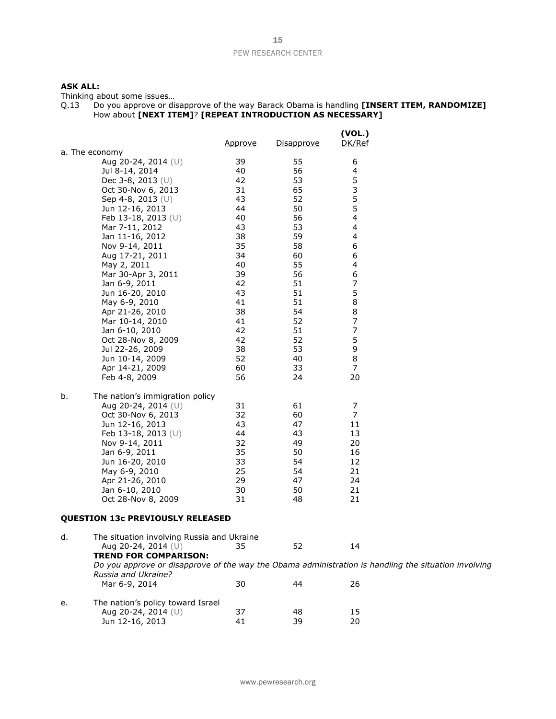#### **ASK ALL:**

Thinking about some issues…

| 0.13 | Do you approve or disapprove of the way Barack Obama is handling [INSERT ITEM, RANDOMIZE] |
|------|-------------------------------------------------------------------------------------------|
|      | How about [NEXT ITEM]? [REPEAT INTRODUCTION AS NECESSARY]                                 |

|                                                                                                                                                                                                                                                                                                                                                                                                                                                                                                   | <u>Approve</u>                                                                                                                               | <u>Disapprove</u>                                                                                                                            | (VOL.)<br>DK/Ref                                                                                                                                |
|---------------------------------------------------------------------------------------------------------------------------------------------------------------------------------------------------------------------------------------------------------------------------------------------------------------------------------------------------------------------------------------------------------------------------------------------------------------------------------------------------|----------------------------------------------------------------------------------------------------------------------------------------------|----------------------------------------------------------------------------------------------------------------------------------------------|-------------------------------------------------------------------------------------------------------------------------------------------------|
| a. The economy<br>Aug 20-24, 2014 (U)<br>Jul 8-14, 2014<br>Dec 3-8, 2013 $(U)$<br>Oct 30-Nov 6, 2013<br>Sep 4-8, 2013 $(U)$<br>Jun 12-16, 2013<br>Feb 13-18, 2013 (U)<br>Mar 7-11, 2012<br>Jan 11-16, 2012<br>Nov 9-14, 2011<br>Aug 17-21, 2011<br>May 2, 2011<br>Mar 30-Apr 3, 2011<br>Jan 6-9, 2011<br>Jun 16-20, 2010<br>May 6-9, 2010<br>Apr 21-26, 2010<br>Mar 10-14, 2010<br>Jan 6-10, 2010<br>Oct 28-Nov 8, 2009<br>Jul 22-26, 2009<br>Jun 10-14, 2009<br>Apr 14-21, 2009<br>Feb 4-8, 2009 | 39<br>40<br>42<br>31<br>43<br>44<br>40<br>43<br>38<br>35<br>34<br>40<br>39<br>42<br>43<br>41<br>38<br>41<br>42<br>42<br>38<br>52<br>60<br>56 | 55<br>56<br>53<br>65<br>52<br>50<br>56<br>53<br>59<br>58<br>60<br>55<br>56<br>51<br>51<br>51<br>54<br>52<br>51<br>52<br>53<br>40<br>33<br>24 | 6<br>4<br>5<br>3<br>5<br>5<br>4<br>4<br>4<br>6<br>6<br>4<br>6<br>7<br>5<br>8<br>8<br>$\overline{7}$<br>$\overline{7}$<br>5<br>9<br>8<br>7<br>20 |
| b.<br>The nation's immigration policy<br>Aug 20-24, 2014 (U)<br>Oct 30-Nov 6, 2013<br>Jun 12-16, 2013<br>Feb 13-18, 2013 (U)<br>Nov 9-14, 2011<br>Jan 6-9, 2011<br>Jun 16-20, 2010<br>May 6-9, 2010<br>Apr 21-26, 2010<br>Jan 6-10, 2010<br>Oct 28-Nov 8, 2009<br><b>QUESTION 13c PREVIOUSLY RELEASED</b>                                                                                                                                                                                         | 31<br>32<br>43<br>44<br>32<br>35<br>33<br>25<br>29<br>30<br>31                                                                               | 61<br>60<br>47<br>43<br>49<br>50<br>54<br>54<br>47<br>50<br>48                                                                               | 7<br>$\overline{7}$<br>11<br>13<br>20<br>16<br>12<br>21<br>24<br>21<br>21                                                                       |
| The situation involving Russia and Ukraine<br>d.<br>Aug 20-24, 2014 (U)<br><b>TREND FOR COMPARISON:</b>                                                                                                                                                                                                                                                                                                                                                                                           | 35                                                                                                                                           | 52                                                                                                                                           | 14                                                                                                                                              |

*Do you approve or disapprove of the way the Obama administration is handling the situation involving Russia and Ukraine?* 30 44 26

| е. | The nation's policy toward Israel |    |    |    |
|----|-----------------------------------|----|----|----|
|    | Aug 20-24, 2014 $(U)$             | 37 | 48 | 15 |
|    | Jun 12-16, 2013                   | 41 | 39 | 20 |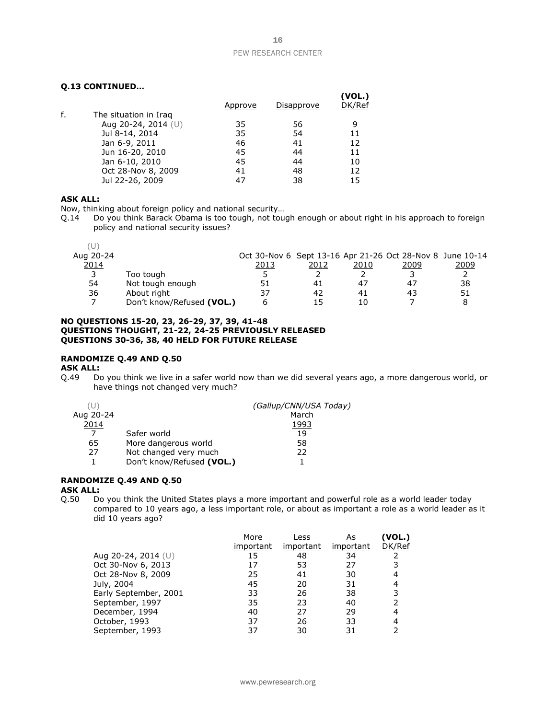#### **Q.13 CONTINUED…**

|    |                       |         |            | (VOL.) |
|----|-----------------------|---------|------------|--------|
|    |                       | Approve | Disapprove | DK/Ref |
| f. | The situation in Iraq |         |            |        |
|    | Aug 20-24, 2014 (U)   | 35      | 56         |        |
|    | Jul 8-14, 2014        | 35      | 54         | 11     |
|    | Jan 6-9, 2011         | 46      | 41         | 12     |
|    | Jun 16-20, 2010       | 45      | 44         | 11     |
|    | Jan 6-10, 2010        | 45      | 44         | 10     |
|    | Oct 28-Nov 8, 2009    | 41      | 48         | 12     |
|    | Jul 22-26, 2009       | 47      | 38         | 15     |

#### **ASK ALL:**

Now, thinking about foreign policy and national security…

Q.14 Do you think Barack Obama is too tough, not tough enough or about right in his approach to foreign policy and national security issues?

| Aug 20-24 |                           |      |      |      | Oct 30-Nov 6 Sept 13-16 Apr 21-26 Oct 28-Nov 8 June 10-14 |      |
|-----------|---------------------------|------|------|------|-----------------------------------------------------------|------|
| 2014      |                           | 2013 | 2012 | 2010 | 2009                                                      | 2009 |
| 3         | Too tough                 |      |      |      |                                                           |      |
| 54        | Not tough enough          | 51   | 41   | 47   | 47                                                        | 38   |
| 36        | About right               | 37   | 42   | 41   | 43                                                        | 51   |
|           | Don't know/Refused (VOL.) |      | 15   | 10   |                                                           |      |

#### **NO QUESTIONS 15-20, 23, 26-29, 37, 39, 41-48 QUESTIONS THOUGHT, 21-22, 24-25 PREVIOUSLY RELEASED QUESTIONS 30-36, 38, 40 HELD FOR FUTURE RELEASE**

#### **RANDOMIZE Q.49 AND Q.50**

**ASK ALL:**

Q.49 Do you think we live in a safer world now than we did several years ago, a more dangerous world, or have things not changed very much?

|           |                           | (Gallup/CNN/USA Today) |
|-----------|---------------------------|------------------------|
| Aug 20-24 |                           | March                  |
| 2014      |                           | 1993                   |
|           | Safer world               | 19                     |
| 65        | More dangerous world      | 58                     |
| 27        | Not changed very much     | 22                     |
|           | Don't know/Refused (VOL.) |                        |

#### **RANDOMIZE Q.49 AND Q.50**

#### **ASK ALL:**

Q.50 Do you think the United States plays a more important and powerful role as a world leader today compared to 10 years ago, a less important role, or about as important a role as a world leader as it did 10 years ago?

|                       | More      | Less      | As        | (VOL.) |
|-----------------------|-----------|-----------|-----------|--------|
|                       | important | important | important | DK/Ref |
| Aug 20-24, 2014 $(U)$ | 15        | 48        | 34        |        |
| Oct 30-Nov 6, 2013    | 17        | 53        | 27        |        |
| Oct 28-Nov 8, 2009    | 25        | 41        | 30        |        |
| July, 2004            | 45        | 20        | 31        | 4      |
| Early September, 2001 | 33        | 26        | 38        |        |
| September, 1997       | 35        | 23        | 40        |        |
| December, 1994        | 40        | 27        | 29        | 4      |
| October, 1993         | 37        | 26        | 33        |        |
| September, 1993       | 37        | 30        | 31        |        |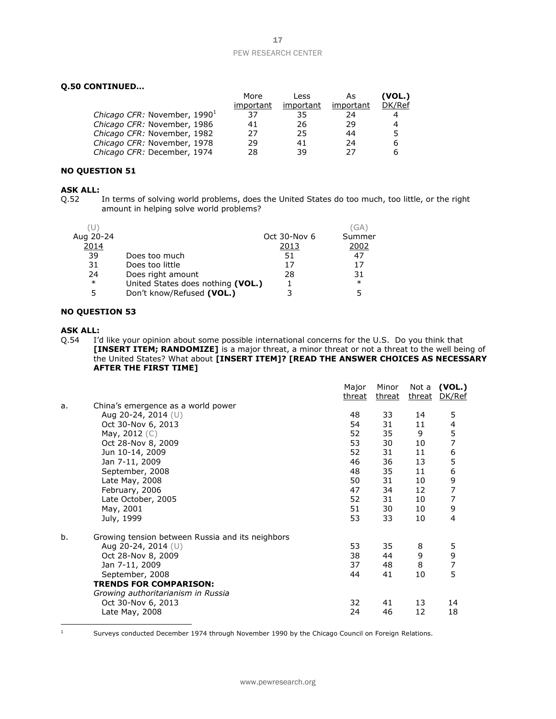#### **Q.50 CONTINUED…**

|                                          | More      | Less      | As        | (VOL.) |
|------------------------------------------|-----------|-----------|-----------|--------|
|                                          | important | important | important | DK/Ref |
| Chicago CFR: November, 1990 <sup>1</sup> | 37        | 35        | 24        | 4      |
| Chicago CFR: November, 1986              | 41        | 26        | 29        | 4      |
| Chicago CFR: November, 1982              | 27        | 25        | 44        | 5.     |
| Chicago CFR: November, 1978              | 29        | 41        | 24        | 6      |
| Chicago CFR: December, 1974              | 28        | 39        | つフ        | 6      |

#### **NO QUESTION 51**

# **ASK ALL:**<br>0.52

In terms of solving world problems, does the United States do too much, too little, or the right amount in helping solve world problems?

|           |                                   |              | 'GA    |
|-----------|-----------------------------------|--------------|--------|
| Aug 20-24 |                                   | Oct 30-Nov 6 | Summer |
| 2014      |                                   | 2013         | 2002   |
| 39        | Does too much                     | 51           | 47     |
| 31        | Does too little                   | 17           | 17     |
| 24        | Does right amount                 | 28           | 31     |
| $\ast$    | United States does nothing (VOL.) |              | $\ast$ |
| 5         | Don't know/Refused (VOL.)         |              |        |
|           |                                   |              |        |

#### **NO QUESTION 53**

#### **ASK ALL:**

Q.54 I'd like your opinion about some possible international concerns for the U.S. Do you think that **[INSERT ITEM; RANDOMIZE]** is a major threat, a minor threat or not a threat to the well being of the United States? What about **[INSERT ITEM]? [READ THE ANSWER CHOICES AS NECESSARY AFTER THE FIRST TIME]**

|    |                                                  | Major<br>threat | Minor<br>threat | Not a<br>threat | (VOL.)<br>DK/Ref |
|----|--------------------------------------------------|-----------------|-----------------|-----------------|------------------|
| a. | China's emergence as a world power               |                 |                 |                 |                  |
|    | Aug 20-24, 2014 (U)                              | 48              | 33              | 14              | 5                |
|    | Oct 30-Nov 6, 2013                               | 54              | 31              | 11              | 4                |
|    | May, $2012$ (C)                                  | 52              | 35              | 9               | 5                |
|    | Oct 28-Nov 8, 2009                               | 53              | 30              | 10              | 7                |
|    | Jun 10-14, 2009                                  | 52              | 31              | 11              | 6                |
|    | Jan 7-11, 2009                                   | 46              | 36              | 13              | 5                |
|    | September, 2008                                  | 48              | 35              | 11              |                  |
|    | Late May, 2008                                   | 50              | 31              | 10              | 6<br>9           |
|    | February, 2006                                   | 47              | 34              | 12              | $\overline{7}$   |
|    | Late October, 2005                               | 52              | 31              | 10              | 7                |
|    | May, 2001                                        | 51              | 30              | 10              | 9                |
|    | July, 1999                                       | 53              | 33              | 10              | $\overline{4}$   |
| b. | Growing tension between Russia and its neighbors |                 |                 |                 |                  |
|    | Aug 20-24, 2014 (U)                              | 53              | 35              | 8               | 5                |
|    | Oct 28-Nov 8, 2009                               | 38              | 44              | 9               | 9                |
|    | Jan 7-11, 2009                                   | 37              | 48              | 8               | 7                |
|    | September, 2008                                  | 44              | 41              | 10              | 5                |
|    | <b>TRENDS FOR COMPARISON:</b>                    |                 |                 |                 |                  |
|    | Growing authoritarianism in Russia               |                 |                 |                 |                  |
|    | Oct 30-Nov 6, 2013                               | 32              | 41              | 13              | 14               |
|    | Late May, 2008                                   | 24              | 46              | 12              | 18               |
|    |                                                  |                 |                 |                 |                  |

<sup>1</sup> Surveys conducted December 1974 through November 1990 by the Chicago Council on Foreign Relations.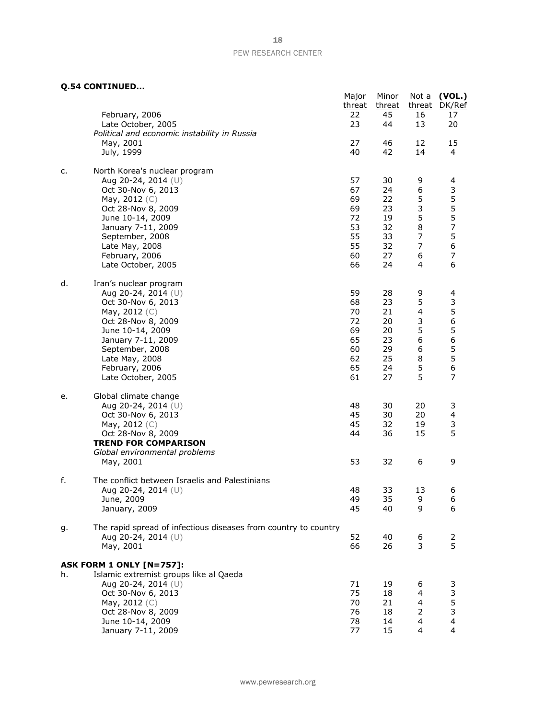**Q.54 CONTINUED...**

|    | טוווווווווויטט 2.54 (ע                                                                 | Major<br>threat | Minor<br>threat | Not a<br>threat                  | (VOL.)<br>DK/Ref                      |
|----|----------------------------------------------------------------------------------------|-----------------|-----------------|----------------------------------|---------------------------------------|
|    | February, 2006<br>Late October, 2005                                                   | 22<br>23        | 45<br>44        | 16<br>13                         | 17<br>20                              |
|    | Political and economic instability in Russia<br>May, 2001                              | 27              | 46              | 12                               | 15                                    |
|    | July, 1999                                                                             | 40              | 42              | 14                               | 4                                     |
| c. | North Korea's nuclear program<br>Aug 20-24, 2014 (U)                                   | 57              | 30              | 9                                | 4                                     |
|    | Oct 30-Nov 6, 2013                                                                     | 67              | 24              | $\boldsymbol{6}$                 | 3                                     |
|    | May, $2012$ (C)<br>Oct 28-Nov 8, 2009                                                  | 69<br>69        | 22<br>23        | 5<br>3                           | 5<br>5<br>5                           |
|    | June 10-14, 2009                                                                       | 72              | 19              | 5                                |                                       |
|    | January 7-11, 2009                                                                     | 53              | 32              | 8                                | $\overline{7}$                        |
|    | September, 2008                                                                        | 55<br>55        | 33              | $\overline{7}$<br>$\overline{7}$ | $\begin{array}{c} 5 \\ 6 \end{array}$ |
|    | Late May, 2008<br>February, 2006                                                       | 60              | 32<br>27        | 6                                | $\overline{\phantom{a}}$              |
|    | Late October, 2005                                                                     | 66              | 24              | 4                                | 6                                     |
| d. | Iran's nuclear program<br>Aug 20-24, 2014 (U)                                          | 59              |                 |                                  |                                       |
|    | Oct 30-Nov 6, 2013                                                                     | 68              | 28<br>23        | 9<br>5                           | 4<br>3                                |
|    | May, $2012$ (C)                                                                        | 70              | 21              | 4                                | $\begin{array}{c} 5 \\ 6 \end{array}$ |
|    | Oct 28-Nov 8, 2009                                                                     | 72              | 20              | 3                                |                                       |
|    | June 10-14, 2009                                                                       | 69<br>65        | 20<br>23        | 5<br>6                           | $\begin{array}{c} 5 \\ 6 \end{array}$ |
|    | January 7-11, 2009<br>September, 2008                                                  | 60              | 29              | 6                                | 5                                     |
|    | Late May, 2008                                                                         | 62              | 25              | 8                                | 5                                     |
|    | February, 2006                                                                         | 65              | 24              | 5                                | 6                                     |
|    | Late October, 2005                                                                     | 61              | 27              | 5                                | 7                                     |
| e. | Global climate change                                                                  |                 |                 |                                  |                                       |
|    | Aug 20-24, 2014 (U)<br>Oct 30-Nov 6, 2013                                              | 48<br>45        | 30<br>30        | 20<br>20                         | 3<br>$\overline{\mathbf{4}}$          |
|    | May, 2012 (C)                                                                          | 45              | 32              | 19                               | 3                                     |
|    | Oct 28-Nov 8, 2009                                                                     | 44              | 36              | 15                               | 5                                     |
|    | <b>TREND FOR COMPARISON</b>                                                            |                 |                 |                                  |                                       |
|    | Global environmental problems<br>May, 2001                                             | 53              | 32              | 6                                | 9                                     |
| f. | The conflict between Israelis and Palestinians                                         |                 |                 |                                  |                                       |
|    | Aug 20-24, 2014 (U)                                                                    | 48              | 33              | 13                               | 6                                     |
|    | June, 2009<br>January, 2009                                                            | 49<br>45        | 35<br>40        | 9<br>9                           | 6<br>6                                |
|    |                                                                                        |                 |                 |                                  |                                       |
| g. | The rapid spread of infectious diseases from country to country<br>Aug 20-24, 2014 (U) | 52              | 40              | 6                                |                                       |
|    | May, 2001                                                                              | 66              | 26              | 3                                | $rac{2}{5}$                           |
|    | <b>ASK FORM 1 ONLY [N=757]:</b>                                                        |                 |                 |                                  |                                       |
| h. | Islamic extremist groups like al Qaeda                                                 |                 |                 |                                  |                                       |
|    | Aug 20-24, 2014 $(U)$                                                                  | 71              | 19              | 6                                | 3                                     |
|    | Oct 30-Nov 6, 2013                                                                     | 75              | 18              | 4                                | 3                                     |
|    | May, 2012 (C)<br>Oct 28-Nov 8, 2009                                                    | 70<br>76        | 21<br>18        | 4<br>2                           | $\frac{5}{3}$                         |
|    | June 10-14, 2009                                                                       | 78              | 14              | 4                                | $\overline{\mathbf{4}}$               |
|    | January 7-11, 2009                                                                     | 77              | 15              | 4                                | $\overline{4}$                        |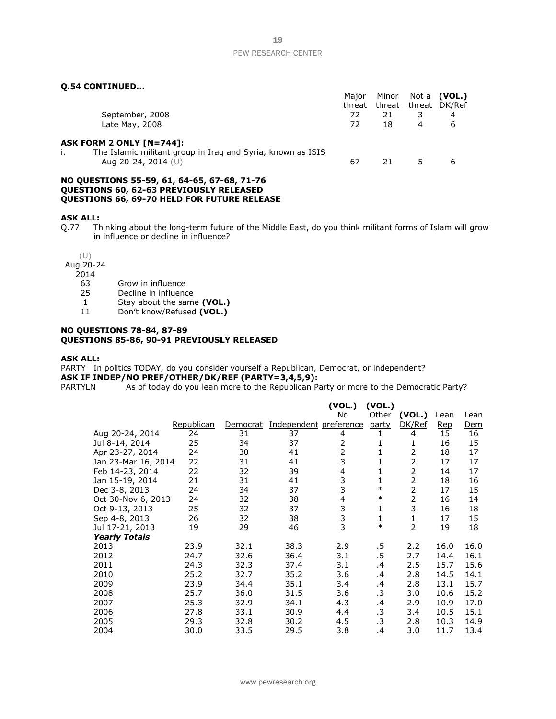#### **Q.54 CONTINUED...**

|                                                                                    | Major  | Minor  | Not a | (VOL.)        |
|------------------------------------------------------------------------------------|--------|--------|-------|---------------|
|                                                                                    | threat | threat |       | threat DK/Ref |
| September, 2008                                                                    | 72     | 21     | 3     | 4             |
| Late May, 2008                                                                     | 72     | 18     | 4     | 6             |
| ASK FORM 2 ONLY [N=744]:                                                           |        |        |       |               |
| The Islamic militant group in Irag and Syria, known as ISIS<br>Aug 20-24, 2014 (U) | 67     | 21     | 5.    | 6             |
| NO QUESTIONS 55-59, 61, 64-65, 67-68, 71-76                                        |        |        |       |               |
| <b>OUESTIONS 60, 62-63 PREVIOUSLY RELEASED</b>                                     |        |        |       |               |

**QUESTIONS 66, 69-70 HELD FOR FUTURE RELEASE**

#### **ASK ALL:**

Q.77 Thinking about the long-term future of the Middle East, do you think militant forms of Islam will grow in influence or decline in influence?

(U)

Aug 20-24

 $\frac{2014}{63}$ 

- Grow in influence
- 25 Decline in influence
- 1 Stay about the same **(VOL.)**

11 Don't know/Refused **(VOL.)**

#### **NO QUESTIONS 78-84, 87-89 QUESTIONS 85-86, 90-91 PREVIOUSLY RELEASED**

#### **ASK ALL:**

PARTY In politics TODAY, do you consider yourself a Republican, Democrat, or independent? **ASK IF INDEP/NO PREF/OTHER/DK/REF (PARTY=3,4,5,9):**<br>PARTYLN As of today do you lean more to the Republican Pa

As of today do you lean more to the Republican Party or more to the Democratic Party?

|                      |            |          |                        | (VOL.) | (VOL.)       |        |            |      |
|----------------------|------------|----------|------------------------|--------|--------------|--------|------------|------|
|                      |            |          |                        | No     | Other        | (VOL.) | Lean       | Lean |
|                      | Republican | Democrat | Independent preference |        | party        | DK/Ref | <b>Rep</b> | Dem  |
| Aug 20-24, 2014      | 24         | 31       | 37                     | 4      | 1            | 4      | 15         | 16   |
| Jul 8-14, 2014       | 25         | 34       | 37                     | 2      | 1            | 1      | 16         | 15   |
| Apr 23-27, 2014      | 24         | 30       | 41                     | 2      | 1            | 2      | 18         | 17   |
| Jan 23-Mar 16, 2014  | 22         | 31       | 41                     | 3      | 1            | 2      | 17         | 17   |
| Feb 14-23, 2014      | 22         | 32       | 39                     | 4      | 1            | 2      | 14         | 17   |
| Jan 15-19, 2014      | 21         | 31       | 41                     | 3      | 1            | 2      | 18         | 16   |
| Dec 3-8, 2013        | 24         | 34       | 37                     | 3      | $\ast$       | 2      | 17         | 15   |
| Oct 30-Nov 6, 2013   | 24         | 32       | 38                     | 4      | $\ast$       | 2      | 16         | 14   |
| Oct 9-13, 2013       | 25         | 32       | 37                     | 3      | 1            | 3      | 16         | 18   |
| Sep 4-8, 2013        | 26         | 32       | 38                     | 3      | $\mathbf{1}$ | 1      | 17         | 15   |
| Jul 17-21, 2013      | 19         | 29       | 46                     | 3      | $\ast$       | 2      | 19         | 18   |
| <b>Yearly Totals</b> |            |          |                        |        |              |        |            |      |
| 2013                 | 23.9       | 32.1     | 38.3                   | 2.9    | .5           | 2.2    | 16.0       | 16.0 |
| 2012                 | 24.7       | 32.6     | 36.4                   | 3.1    | .5           | 2.7    | 14.4       | 16.1 |
| 2011                 | 24.3       | 32.3     | 37.4                   | 3.1    | .4           | 2.5    | 15.7       | 15.6 |
| 2010                 | 25.2       | 32.7     | 35.2                   | 3.6    | .4           | 2.8    | 14.5       | 14.1 |
| 2009                 | 23.9       | 34.4     | 35.1                   | 3.4    | .4           | 2.8    | 13.1       | 15.7 |
| 2008                 | 25.7       | 36.0     | 31.5                   | 3.6    | .3           | 3.0    | 10.6       | 15.2 |
| 2007                 | 25.3       | 32.9     | 34.1                   | 4.3    | .4           | 2.9    | 10.9       | 17.0 |
| 2006                 | 27.8       | 33.1     | 30.9                   | 4.4    | .3           | 3.4    | 10.5       | 15.1 |
| 2005                 | 29.3       | 32.8     | 30.2                   | 4.5    | .3           | 2.8    | 10.3       | 14.9 |
| 2004                 | 30.0       | 33.5     | 29.5                   | 3.8    | .4           | 3.0    | 11.7       | 13.4 |

www.pewresearch.org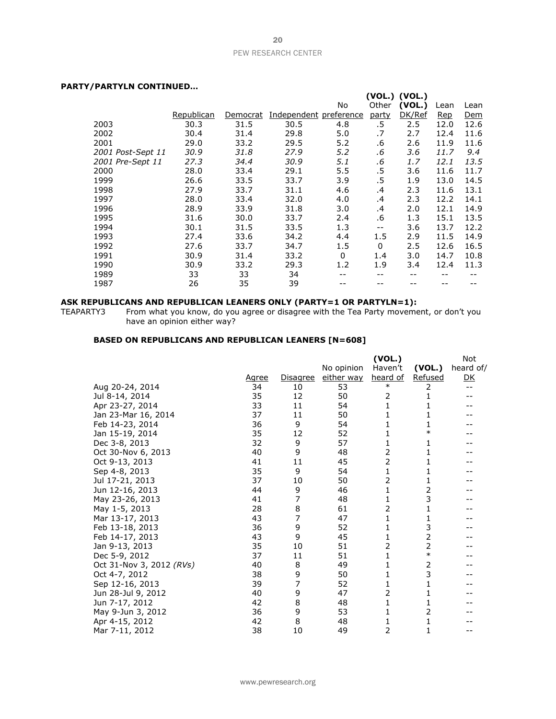#### **PARTY/PARTYLN CONTINUED…**

|                   |            |          |                        |         |                   | (VOL.) (VOL.) |      |            |
|-------------------|------------|----------|------------------------|---------|-------------------|---------------|------|------------|
|                   |            |          |                        | No      | Other             | (VOL.)        | Lean | Lean       |
|                   | Republican | Democrat | Independent preference |         | party             | DK/Ref        | Rep  | <b>Dem</b> |
| 2003              | 30.3       | 31.5     | 30.5                   | 4.8     | .5                | 2.5           | 12.0 | 12.6       |
| 2002              | 30.4       | 31.4     | 29.8                   | 5.0     | .7                | 2.7           | 12.4 | 11.6       |
| 2001              | 29.0       | 33.2     | 29.5                   | 5.2     | .6                | 2.6           | 11.9 | 11.6       |
| 2001 Post-Sept 11 | 30.9       | 31.8     | 27.9                   | 5.2     | .6                | 3.6           | 11.7 | 9.4        |
| 2001 Pre-Sept 11  | 27.3       | 34.4     | 30.9                   | 5.1     | .6                | 1.7           | 12.1 | 13.5       |
| 2000              | 28.0       | 33.4     | 29.1                   | 5.5     | $.5\,$            | 3.6           | 11.6 | 11.7       |
| 1999              | 26.6       | 33.5     | 33.7                   | 3.9     | $.5\,$            | 1.9           | 13.0 | 14.5       |
| 1998              | 27.9       | 33.7     | 31.1                   | 4.6     | .4                | 2.3           | 11.6 | 13.1       |
| 1997              | 28.0       | 33.4     | 32.0                   | 4.0     | .4                | 2.3           | 12.2 | 14.1       |
| 1996              | 28.9       | 33.9     | 31.8                   | 3.0     | .4                | 2.0           | 12.1 | 14.9       |
| 1995              | 31.6       | 30.0     | 33.7                   | 2.4     | .6                | 1.3           | 15.1 | 13.5       |
| 1994              | 30.1       | 31.5     | 33.5                   | 1.3     | $\qquad \qquad -$ | 3.6           | 13.7 | 12.2       |
| 1993              | 27.4       | 33.6     | 34.2                   | 4.4     | 1.5               | 2.9           | 11.5 | 14.9       |
| 1992              | 27.6       | 33.7     | 34.7                   | $1.5\,$ | $\mathbf{0}$      | 2.5           | 12.6 | 16.5       |
| 1991              | 30.9       | 31.4     | 33.2                   | 0       | 1.4               | 3.0           | 14.7 | 10.8       |
| 1990              | 30.9       | 33.2     | 29.3                   | 1.2     | 1.9               | 3.4           | 12.4 | 11.3       |
| 1989              | 33         | 33       | 34                     |         |                   | --            |      |            |
| 1987              | 26         | 35       | 39                     |         |                   |               |      |            |
|                   |            |          |                        |         |                   |               |      |            |

#### **ASK REPUBLICANS AND REPUBLICAN LEANERS ONLY (PARTY=1 OR PARTYLN=1):**

TEAPARTY3 From what you know, do you agree or disagree with the Tea Party movement, or don't you have an opinion either way?

#### **BASED ON REPUBLICANS AND REPUBLICAN LEANERS [N=608]**

|                          |       |          |            | (VOL.)         |                | <b>Not</b>     |
|--------------------------|-------|----------|------------|----------------|----------------|----------------|
|                          |       |          | No opinion | Haven't        | (VOL.)         | heard of/      |
|                          | Agree | Disagree | either way | heard of       | Refused        | D <sub>K</sub> |
| Aug 20-24, 2014          | 34    | 10       | 53         | $\ast$         | 2              | $-1$           |
| Jul 8-14, 2014           | 35    | 12       | 50         | 2              | 1              |                |
| Apr 23-27, 2014          | 33    | 11       | 54         | 1              | 1              |                |
| Jan 23-Mar 16, 2014      | 37    | 11       | 50         | 1              | 1              |                |
| Feb 14-23, 2014          | 36    | 9        | 54         | 1              | 1              |                |
| Jan 15-19, 2014          | 35    | 12       | 52         | 1              | $\ast$         |                |
| Dec 3-8, 2013            | 32    | 9        | 57         | 1              | 1              |                |
| Oct 30-Nov 6, 2013       | 40    | 9        | 48         | $\overline{2}$ | 1              |                |
| Oct 9-13, 2013           | 41    | 11       | 45         | $\overline{2}$ | 1              |                |
| Sep 4-8, 2013            | 35    | 9        | 54         | 1              | 1              |                |
| Jul 17-21, 2013          | 37    | 10       | 50         | 2              | 1              |                |
| Jun 12-16, 2013          | 44    | 9        | 46         | 1              | 2              |                |
| May 23-26, 2013          | 41    | 7        | 48         | 1              | 3              |                |
| May 1-5, 2013            | 28    | 8        | 61         | $\overline{2}$ | 1              |                |
| Mar 13-17, 2013          | 43    | 7        | 47         | 1              | 1              |                |
| Feb 13-18, 2013          | 36    | 9        | 52         | 1              | 3              |                |
| Feb 14-17, 2013          | 43    | 9        | 45         | 1              | $\overline{2}$ |                |
| Jan 9-13, 2013           | 35    | 10       | 51         | $\overline{2}$ | 2              |                |
| Dec 5-9, 2012            | 37    | 11       | 51         | 1              | $\ast$         |                |
| Oct 31-Nov 3, 2012 (RVs) | 40    | 8        | 49         | 1              | 2              |                |
| Oct 4-7, 2012            | 38    | 9        | 50         | 1              | 3              |                |
| Sep 12-16, 2013          | 39    | 7        | 52         | 1              | 1              |                |
| Jun 28-Jul 9, 2012       | 40    | 9        | 47         | 2              | 1              |                |
| Jun 7-17, 2012           | 42    | 8        | 48         | 1              | 1              |                |
| May 9-Jun 3, 2012        | 36    | 9        | 53         | 1              | 2              |                |
| Apr 4-15, 2012           | 42    | 8        | 48         | 1              | 1              |                |
| Mar 7-11, 2012           | 38    | 10       | 49         | 2              | 1              | --             |